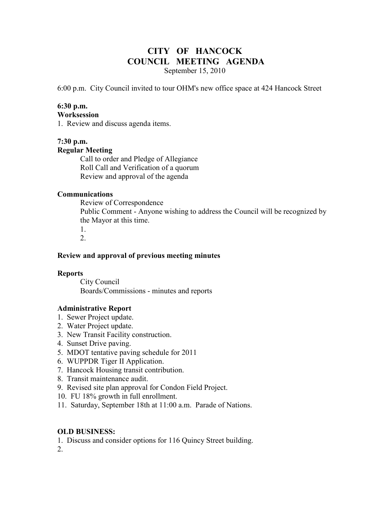# **CITY OF HANCOCK COUNCIL MEETING AGENDA**

September 15, 2010

6:00 p.m. City Council invited to tour OHM's new office space at 424 Hancock Street

# **6:30 p.m.**

#### **Worksession**

1. Review and discuss agenda items.

# **7:30 p.m. Regular Meeting**

 Call to order and Pledge of Allegiance Roll Call and Verification of a quorum Review and approval of the agenda

# **Communications**

 Review of Correspondence Public Comment - Anyone wishing to address the Council will be recognized by the Mayor at this time. 1.

2.

## **Review and approval of previous meeting minutes**

## **Reports**

City Council Boards/Commissions - minutes and reports

# **Administrative Report**

- 1. Sewer Project update.
- 2. Water Project update.
- 3. New Transit Facility construction.
- 4. Sunset Drive paving.
- 5. MDOT tentative paving schedule for 2011
- 6. WUPPDR Tiger II Application.
- 7. Hancock Housing transit contribution.
- 8. Transit maintenance audit.
- 9. Revised site plan approval for Condon Field Project.
- 10. FU 18% growth in full enrollment.
- 11. Saturday, September 18th at 11:00 a.m. Parade of Nations.

# **OLD BUSINESS:**

1. Discuss and consider options for 116 Quincy Street building.

2.